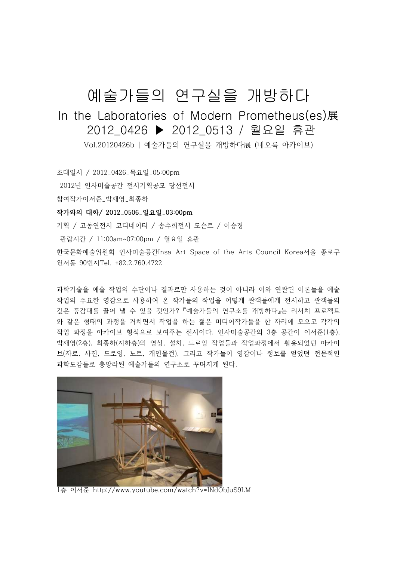## 예술가들의 연구실을 개방하다

## In the Laboratories of Modern Prometheus(es)展 2012\_0426 ▶ 2012\_0513 / 월요일 휴관

Vol.20120426b | 예술가들의 연구실을 개방하다展 (네오룩 아카이브)

초대일시 / 2012\_0426\_목요일\_05:00pm

2012년 인사미술공간 전시기획공모 당선전시

참여작가이서준\_박재영\_최종하

**작가와의 대화/ 2012\_0506\_일요일\_03:00pm**

기획 / 고동연전시 코디네이터 / 송수희전시 도슨트 / 이승경

관람시간 / 11:00am~07:00pm / 월요일 휴관

한국문화예술위원회 인사미술공간Insa Art Space of the Arts Council Korea서울 종로구 원서동 90번지Tel. +82.2.760.4722

과학기술을 예술 작업의 수단이나 결과로만 사용하는 것이 아니라 이와 연관된 이론들을 예술 작업의 주요한 영감으로 사용하여 온 작가들의 작업을 어떻게 관객들에게 전시하고 관객들의 깊은 공감대를 끌어 낼 수 있을 것인가? 『예술가들의 연구소를 개방하다』는 리서치 프로젝트 와 같은 형태의 과정을 거치면서 작업을 하는 젊은 미디어작가들을 한 자리에 모으고 각각의 작업 과정을 아카이브 형식으로 보여주는 전시이다. 인사미술공간의 3층 공간이 이서준(1층), 박재영(2층), 최종하(지하층)의 영상, 설치, 드로잉 작업들과 작업과정에서 활용되었던 아카이 브(자료, 사진, 드로잉, 노트, 개인물건), 그리고 작가들이 영감이나 정보를 얻었던 전문적인 과학도감들로 총망라된 예술가들의 연구소로 꾸며지게 된다.



1층 이서준 http://www.youtube.com/watch?v=INdObJuS9LM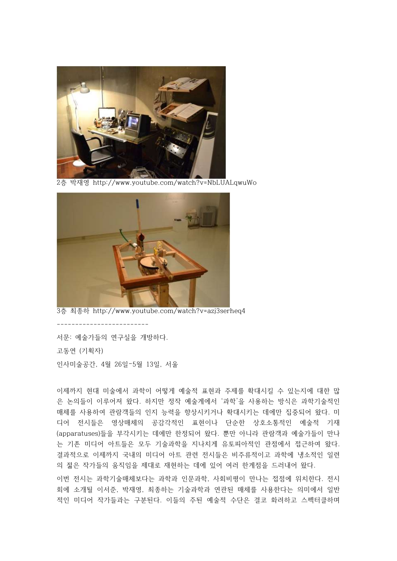

2층 박재영 http://www.youtube.com/watch?v=NbLUALqwuWo



3층 최종하 http://www.youtube.com/watch?v=azj3serheq4

서문: 예술가들의 연구실을 개방하다. 고동연 (기획자) 인사미술공간, 4월 26일–5월 13일, 서울

-------------------------

이제까지 현대 미술에서 과학이 어떻게 예술적 표현과 주제를 확대시킬 수 있는지에 대한 많 은 논의들이 이루어져 왔다. 하지만 정작 예술계에서 '과학'을 사용하는 방식은 과학기술적인 매체를 사용하여 관람객들의 인지 능력을 향상시키거나 확대시키는 데에만 집중되어 왔다. 미 디어 전시들은 영상매체의 공감각적인 표현이나 단순한 상호소통적인 예술적 기재 (apparatuses)들을 부각시키는 데에만 한정되어 왔다. 뿐만 아니라 관람객과 예술가들이 만나 는 기존 미디어 아트들은 모두 기술과학을 지나치게 유토피아적인 관점에서 접근하여 왔다.<br>결과적으로 이제까지 국내의 미디어 아트 관련 전시들은 비주류적이고 과학에 냉소적인 일련 의 젊은 작가들의 움직임을 제대로 재현하는 데에 있어 여러 한계점을 드러내어 왔다.

이번 전시는 과학기술매체보다는 과학과 인문과학, 사회비평이 만나는 접점에 위치한다. 전시 회에 소개될 이서준, 박재영, 최종하는 기술과학과 연관된 매체를 사용한다는 의미에서 일반 적인 미디어 작가들과는 구분된다. 이들의 주된 예술적 수단은 결코 화려하고 스펙터클하며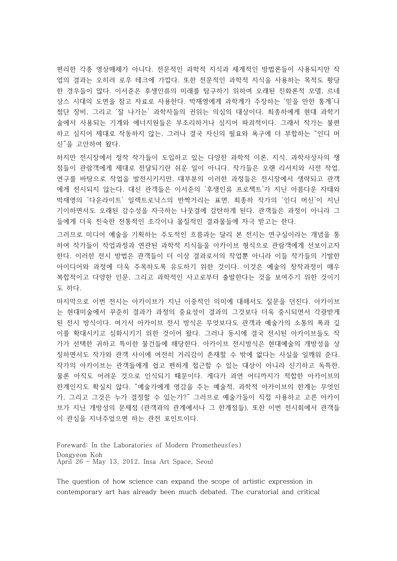편리한 각종 영상매체가 아니다. 전문적인 과학적 지식과 체계적인 방법론들이 사용되지만 작 업의 결과는 오히려 로우 테크에 가깝다. 또한 전문적인 과학적 지식을 사용하는 목적도 황당 한 경우들이 많다. 이서준은 후생인류의 미래를 탐구하기 위하여 오래된 진화론적 모델, 르네 상스 시대의 도면을 참고 자료로 사용한다. 박재영에게 과학계가 주장하는 '믿을 만한 통계'나 첨단 장비, 그리고 '잘 나가는' 과학자들의 귄위는 의심의 대상이다. 최종하에게 현대 과학기 술에서 사용되는 기계와 에너지원들은 부조리하거나 심지어 파괴적이다. 그래서 작가는 불편 하고 심지어 제대로 작동하지 않는, 그러나 결국 자신의 필요와 욕구에 더 부합하는 "인디 머 신"을 고안하여 왔다.

하지만 전시장에서 정작 작가들이 도입하고 있는 다양한 과학적 이론, 지식, 과학사상사의 쟁 점들이 관람객에게 제대로 전달되기란 쉬운 일이 아니다. 작가들은 오랜 리서치와 사전 작업,<br>연구를 바탕으로 작업을 발전시키지만, 대부분의 이러한 과정들은 전시장에서 생략되고 관객 에게 전시되지 않는다. 대신 관객들은 이서준의 '후생인류 프로젝트'가 지닌 아름다운 자태와 박재영의 '다운라이트' 일렉트로닉스의 반짝거리는 표면, 최종하 작가의 '인디 머신'이 지닌 기이하면서도 오래된 감수성을 자극하는 나뭇결에 감탄하게 된다. 관객들은 과정이 아니라 그 들에게 더욱 친숙한 전통적인 조각이나 물질적인 결과물들에 자극 받고는 한다.

그러므로 미디어 예술을 기획하는 주도적인 흐름과는 달리 본 전시는 연구실이라는 개념을 통 하여 작가들이 작업과정과 연관된 과학적 지식들을 아카이브 형식으로 관람객에게 선보이고자 한다. 이러한 전시 방법은 관객들이 더 이상 결과로서의 작업뿐 아니라 이들 작가들의 기발한 아이디어와 과정에 더욱 주목하도록 유도하기 위한 것이다. 이것은 예술의 창작과정이 매우 복합적이고 다양한 인문, 그리고 과학적인 사고로부터 출발한다는 것을 보여주기 위한 것이기 도 하다.

마지막으로 이번 전시는 아카이브가 지닌 이중적인 의미에 대해서도 질문을 던진다. 아카이브 는 현대미술에서 꾸준히 결과가 과정의 중요성이 결과의 그것보다 더욱 중시되면서 각광받게 된 전시 방식이다. 여기서 아카이브 전시 방식은 무엇보다도 관객과 예술가의 소통의 폭과 깊 이를 확대시키고 심화시키기 위한 것이어 왔다. 그러나 동시에 결국 전시된 아카이브들도 작 가가 선택한 귀하고 특이한 물건들에 해당한다. 아카이브 전시방식은 현대예술의 개방성을 상 징하면서도 작가와 관객 사이에 여전히 거리감이 존재할 수 밖에 없다는 사실을 일깨워 준다.<br>작가의 아카이브는 관객들에게 쉽고 편하게 접근할 수 있는 대상이 아니라 신기하고 독특한,<br>물론 아직도 어려운 것으로 인식되기 때문이다. 게다가 과연 어디까지가 적합한 아카이브의 한계인지도 확실치 않다. "예술가에게 영감을 주는 예술적, 과학적 아카이브의 한계는 무엇인 가, 그리고 그것은 누가 결정할 수 있는가?" 그러므로 예술가들이 직접 사용하고 고른 아카이 브가 지닌 개방성의 문제점 (관객과의 관계에서나 그 한계점들), 또한 이번 전시회에서 관객들 이 관심을 지녀주었으면 하는 관전 포인트이다.

Foreward: In the Laboratories of Modern Prometheus(es) Dongyeon Koh April 26 – May 13, 2012. Insa Art Space, Seoul

The question of how science can expand the scope of artistic expression in contemporary art has already been much debated. The curatorial and critical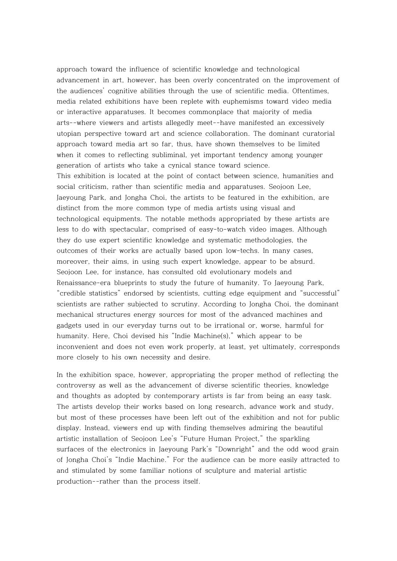approach toward the influence of scientific knowledge and technological advancement in art, however, has been overly concentrated on the improvement of the audiences' cognitive abilities through the use of scientific media. Oftentimes, media related exhibitions have been replete with euphemisms toward video media or interactive apparatuses. It becomes commonplace that majority of media arts--where viewers and artists allegedly meet--have manifested an excessively utopian perspective toward art and science collaboration. The dominant curatorial approach toward media art so far, thus, have shown themselves to be limited when it comes to reflecting subliminal, yet important tendency among younger generation of artists who take a cynical stance toward science. This exhibition is located at the point of contact between science, humanities and social criticism, rather than scientific media and apparatuses. Seojoon Lee, Jaeyoung Park, and Jongha Choi, the artists to be featured in the exhibition, are distinct from the more common type of media artists using visual and technological equipments. The notable methods appropriated by these artists are less to do with spectacular, comprised of easy-to-watch video images. Although they do use expert scientific knowledge and systematic methodologies, the outcomes of their works are actually based upon low-techs. In many cases, moreover, their aims, in using such expert knowledge, appear to be absurd. Seojoon Lee, for instance, has consulted old evolutionary models and Renaissance-era blueprints to study the future of humanity. To Jaeyoung Park, "credible statistics" endorsed by scientists, cutting edge equipment and "successful" scientists are rather subjected to scrutiny. According to Jongha Choi, the dominant mechanical structures energy sources for most of the advanced machines and gadgets used in our everyday turns out to be irrational or, worse, harmful for humanity. Here, Choi devised his "Indie Machine(s)," which appear to be inconvenient and does not even work properly, at least, yet ultimately, corresponds more closely to his own necessity and desire.

In the exhibition space, however, appropriating the proper method of reflecting the controversy as well as the advancement of diverse scientific theories, knowledge and thoughts as adopted by contemporary artists is far from being an easy task. The artists develop their works based on long research, advance work and study, but most of these processes have been left out of the exhibition and not for public display. Instead, viewers end up with finding themselves admiring the beautiful artistic installation of Seojoon Lee's "Future Human Project," the sparkling surfaces of the electronics in Jaeyoung Park's "Downright" and the odd wood grain of Jongha Choi's "Indie Machine." For the audience can be more easily attracted to and stimulated by some familiar notions of sculpture and material artistic production--rather than the process itself.